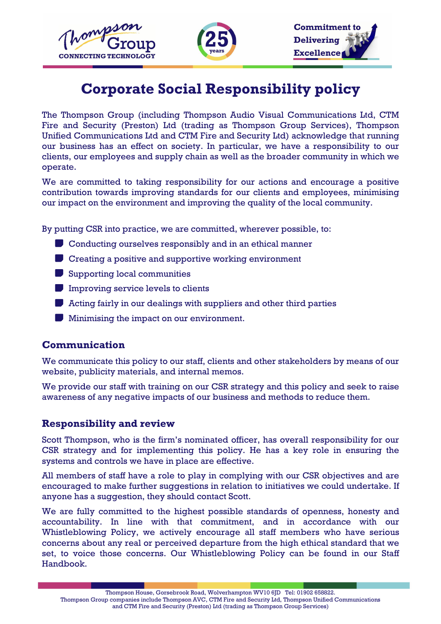





# **Corporate Social Responsibility policy**

The Thompson Group (including Thompson Audio Visual Communications Ltd, CTM Fire and Security (Preston) Ltd (trading as Thompson Group Services), Thompson Unified Communications Ltd and CTM Fire and Security Ltd) acknowledge that running our business has an effect on society. In particular, we have a responsibility to our clients, our employees and supply chain as well as the broader community in which we operate.

We are committed to taking responsibility for our actions and encourage a positive contribution towards improving standards for our clients and employees, minimising our impact on the environment and improving the quality of the local community.

By putting CSR into practice, we are committed, wherever possible, to:

- **D** Conducting ourselves responsibly and in an ethical manner
- **Creating a positive and supportive working environment**
- Supporting local communities
- Improving service levels to clients
- **Acting fairly in our dealings with suppliers and other third parties**
- **Minimising the impact on our environment.**

#### **Communication**

We communicate this policy to our staff, clients and other stakeholders by means of our website, publicity materials, and internal memos.

We provide our staff with training on our CSR strategy and this policy and seek to raise awareness of any negative impacts of our business and methods to reduce them.

#### **Responsibility and review**

Scott Thompson, who is the firm's nominated officer, has overall responsibility for our CSR strategy and for implementing this policy. He has a key role in ensuring the systems and controls we have in place are effective.

All members of staff have a role to play in complying with our CSR objectives and are encouraged to make further suggestions in relation to initiatives we could undertake. If anyone has a suggestion, they should contact Scott.

We are fully committed to the highest possible standards of openness, honesty and accountability. In line with that commitment, and in accordance with our Whistleblowing Policy, we actively encourage all staff members who have serious concerns about any real or perceived departure from the high ethical standard that we set, to voice those concerns. Our Whistleblowing Policy can be found in our Staff Handbook.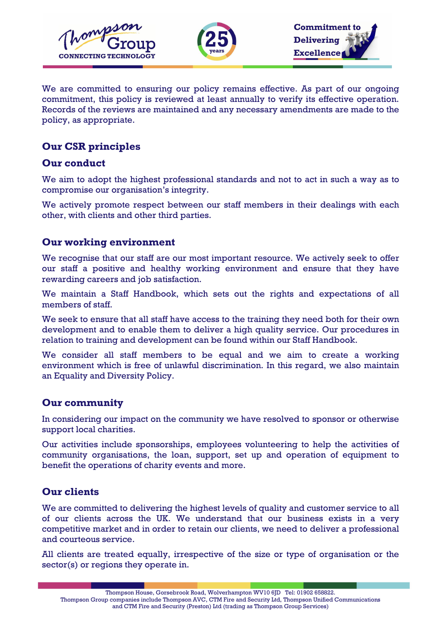



We are committed to ensuring our policy remains effective. As part of our ongoing commitment, this policy is reviewed at least annually to verify its effective operation. Records of the reviews are maintained and any necessary amendments are made to the policy, as appropriate.

# **Our CSR principles**

## **Our conduct**

We aim to adopt the highest professional standards and not to act in such a way as to compromise our organisation's integrity.

We actively promote respect between our staff members in their dealings with each other, with clients and other third parties.

## **Our working environment**

We recognise that our staff are our most important resource. We actively seek to offer our staff a positive and healthy working environment and ensure that they have rewarding careers and job satisfaction.

We maintain a Staff Handbook, which sets out the rights and expectations of all members of staff.

We seek to ensure that all staff have access to the training they need both for their own development and to enable them to deliver a high quality service. Our procedures in relation to training and development can be found within our Staff Handbook.

We consider all staff members to be equal and we aim to create a working environment which is free of unlawful discrimination. In this regard, we also maintain an Equality and Diversity Policy.

# **Our community**

In considering our impact on the community we have resolved to sponsor or otherwise support local charities.

Our activities include sponsorships, employees volunteering to help the activities of community organisations, the loan, support, set up and operation of equipment to benefit the operations of charity events and more.

# **Our clients**

We are committed to delivering the highest levels of quality and customer service to all of our clients across the UK. We understand that our business exists in a very competitive market and in order to retain our clients, we need to deliver a professional and courteous service.

All clients are treated equally, irrespective of the size or type of organisation or the sector(s) or regions they operate in.